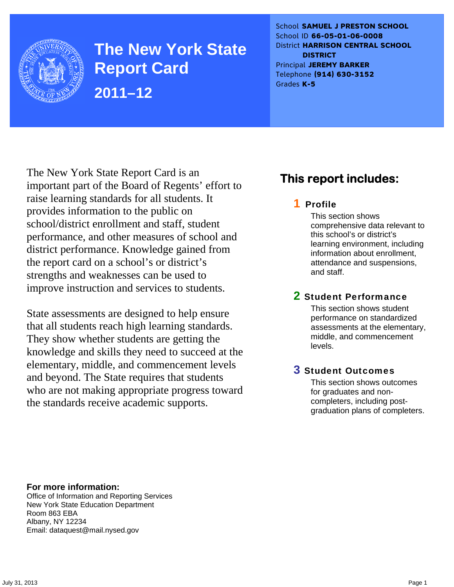

**The New York State Report Card 2011–12** 

School **SAMUEL J PRESTON SCHOOL** School ID **66-05-01-06-0008** District **HARRISON CENTRAL SCHOOL DISTRICT** Principal **JEREMY BARKER** Telephone **(914) 630-3152** Grades **K-5**

The New York State Report Card is an important part of the Board of Regents' effort to raise learning standards for all students. It provides information to the public on school/district enrollment and staff, student performance, and other measures of school and district performance. Knowledge gained from the report card on a school's or district's strengths and weaknesses can be used to improve instruction and services to students.

State assessments are designed to help ensure that all students reach high learning standards. They show whether students are getting the knowledge and skills they need to succeed at the elementary, middle, and commencement levels and beyond. The State requires that students who are not making appropriate progress toward the standards receive academic supports.

## **This report includes:**

### 1 Profile

This section shows comprehensive data relevant to this school's or district's learning environment, including information about enrollment, attendance and suspensions, and staff.

### 2 Student Performance

This section shows student performance on standardized assessments at the elementary, middle, and commencement levels.

### 3 Student Outcomes

This section shows outcomes for graduates and noncompleters, including postgraduation plans of completers.

**For more information:**  Office of Information and Reporting Services New York State Education Department Room 863 EBA Albany, NY 12234

Email: dataquest@mail.nysed.gov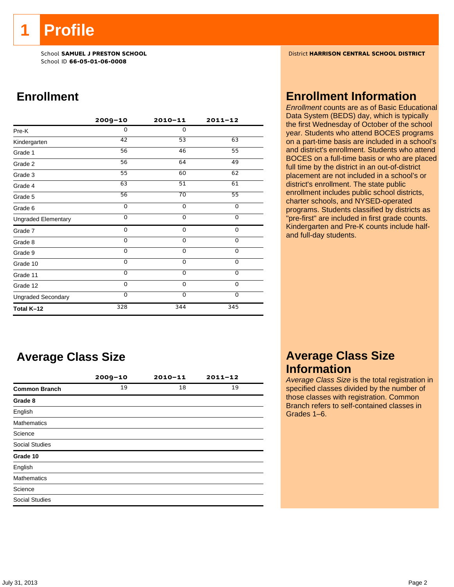**1 Profile** 

School ID **66-05-01-06-0008**

### **Enrollment**

|                            | $2009 - 10$     | $2010 - 11$     | $2011 - 12$ |
|----------------------------|-----------------|-----------------|-------------|
| Pre-K                      | 0               | $\mathbf 0$     |             |
| Kindergarten               | 42              | 53              | 63          |
| Grade 1                    | 56              | 46              | 55          |
| Grade 2                    | 56              | 64              | 49          |
| Grade 3                    | 55              | 60              | 62          |
| Grade 4                    | 63              | 51              | 61          |
| Grade 5                    | $\overline{56}$ | $\overline{70}$ | 55          |
| Grade 6                    | 0               | $\mathbf 0$     | 0           |
| <b>Ungraded Elementary</b> | $\Omega$        | $\Omega$        | 0           |
| Grade 7                    | 0               | 0               | $\mathbf 0$ |
| Grade 8                    | 0               | 0               | $\mathbf 0$ |
| Grade 9                    | 0               | 0               | 0           |
| Grade 10                   | 0               | 0               | 0           |
| Grade 11                   | 0               | 0               | 0           |
| Grade 12                   | 0               | $\mathbf 0$     | 0           |
| <b>Ungraded Secondary</b>  | $\Omega$        | $\mathbf 0$     | $\mathbf 0$ |
| Total K-12                 | 328             | 344             | 345         |

### **Average Class Size**

|                       | $2009 - 10$ | $2010 - 11$ | $2011 - 12$ |
|-----------------------|-------------|-------------|-------------|
| <b>Common Branch</b>  | 19          | 18          | 19          |
| Grade 8               |             |             |             |
| English               |             |             |             |
| <b>Mathematics</b>    |             |             |             |
| Science               |             |             |             |
| <b>Social Studies</b> |             |             |             |
| Grade 10              |             |             |             |
| English               |             |             |             |
| <b>Mathematics</b>    |             |             |             |
| Science               |             |             |             |
| <b>Social Studies</b> |             |             |             |

School **SAMUEL J PRESTON SCHOOL** District **HARRISON CENTRAL SCHOOL DISTRICT**

### **Enrollment Information**

*Enrollment* counts are as of Basic Educational Data System (BEDS) day, which is typically the first Wednesday of October of the school year. Students who attend BOCES programs on a part-time basis are included in a school's and district's enrollment. Students who attend BOCES on a full-time basis or who are placed full time by the district in an out-of-district placement are not included in a school's or district's enrollment. The state public enrollment includes public school districts, charter schools, and NYSED-operated programs. Students classified by districts as "pre-first" are included in first grade counts. Kindergarten and Pre-K counts include halfand full-day students.

### **Average Class Size Information**

*Average Class Size* is the total registration in specified classes divided by the number of those classes with registration. Common Branch refers to self-contained classes in Grades 1–6.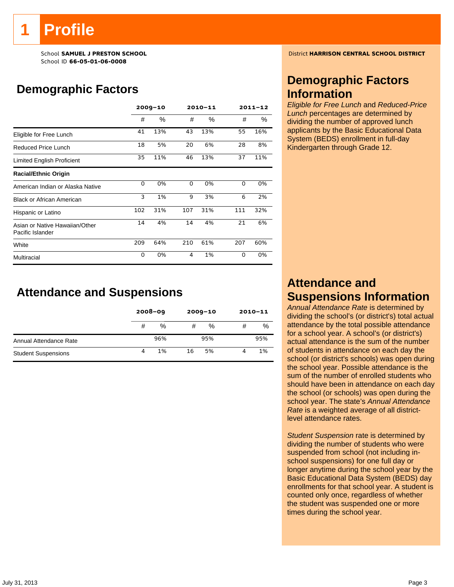# **Profile**

School ID **66-05-01-06-0008**

# **Demographic Factors**

|                                                    | $2009 - 10$ |      |     | 2010-11 | $2011 - 12$ |     |
|----------------------------------------------------|-------------|------|-----|---------|-------------|-----|
|                                                    | #           | $\%$ | #   | %       | #           | %   |
| Eligible for Free Lunch                            | 41          | 13%  | 43  | 13%     | 55          | 16% |
| Reduced Price Lunch                                | 18          | 5%   | 20  | 6%      | 28          | 8%  |
| Limited English Proficient                         | 35          | 11%  | 46  | 13%     | 37          | 11% |
| <b>Racial/Ethnic Origin</b>                        |             |      |     |         |             |     |
| American Indian or Alaska Native                   | 0           | 0%   | 0   | 0%      | 0           | 0%  |
| <b>Black or African American</b>                   | 3           | 1%   | 9   | 3%      | 6           | 2%  |
| Hispanic or Latino                                 | 102         | 31%  | 107 | 31%     | 111         | 32% |
| Asian or Native Hawaiian/Other<br>Pacific Islander | 14          | 4%   | 14  | 4%      | 21          | 6%  |
| White                                              | 209         | 64%  | 210 | 61%     | 207         | 60% |
| Multiracial                                        | 0           | 0%   | 4   | 1%      | $\Omega$    | 0%  |

### **Attendance and Suspensions**

|                            |   | $2008 - 09$ |    | $2009 - 10$ | $2010 - 11$ |     |
|----------------------------|---|-------------|----|-------------|-------------|-----|
|                            | # | %           | #  | %           | #           | %   |
| Annual Attendance Rate     |   | 96%         |    | 95%         |             | 95% |
| <b>Student Suspensions</b> | 4 | 1%          | 16 | 5%          |             | 1%  |

School **SAMUEL J PRESTON SCHOOL** District **HARRISON CENTRAL SCHOOL DISTRICT**

### **Demographic Factors Information**

*Eligible for Free Lunch* and *Reduced-Price Lunch* percentages are determined by dividing the number of approved lunch applicants by the Basic Educational Data System (BEDS) enrollment in full-day Kindergarten through Grade 12.

### **Attendance and Suspensions Information**

*Annual Attendance Rate* is determined by dividing the school's (or district's) total actual attendance by the total possible attendance for a school year. A school's (or district's) actual attendance is the sum of the number of students in attendance on each day the school (or district's schools) was open during the school year. Possible attendance is the sum of the number of enrolled students who should have been in attendance on each day the school (or schools) was open during the school year. The state's *Annual Attendance Rate* is a weighted average of all districtlevel attendance rates.

*Student Suspension* rate is determined by dividing the number of students who were suspended from school (not including inschool suspensions) for one full day or longer anytime during the school year by the Basic Educational Data System (BEDS) day enrollments for that school year. A student is counted only once, regardless of whether the student was suspended one or more times during the school year.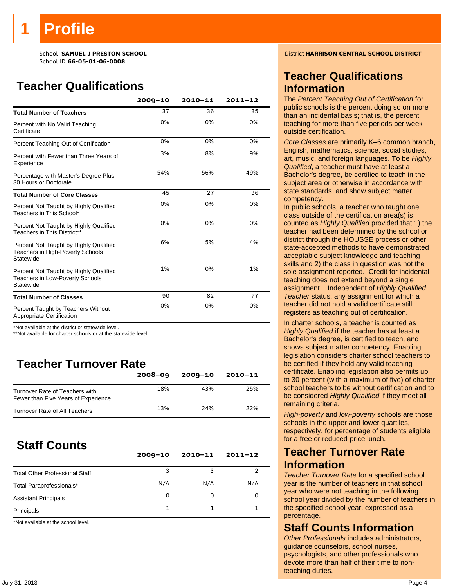# **Profile**

School ID **66-05-01-06-0008**

# **Teacher Qualifications**

|                                                                                               | $2009 - 10$ | $2010 - 11$ | $2011 - 12$ |
|-----------------------------------------------------------------------------------------------|-------------|-------------|-------------|
| <b>Total Number of Teachers</b>                                                               | 37          | 36          | 35          |
| Percent with No Valid Teaching<br>Certificate                                                 | 0%          | 0%          | 0%          |
| Percent Teaching Out of Certification                                                         | 0%          | 0%          | 0%          |
| Percent with Fewer than Three Years of<br>Experience                                          | 3%          | 8%          | 9%          |
| Percentage with Master's Degree Plus<br>30 Hours or Doctorate                                 | 54%         | 56%         | 49%         |
| <b>Total Number of Core Classes</b>                                                           | 45          | 27          | 36          |
| Percent Not Taught by Highly Qualified<br>Teachers in This School*                            | 0%          | 0%          | 0%          |
| Percent Not Taught by Highly Qualified<br>Teachers in This District**                         | 0%          | 0%          | 0%          |
| Percent Not Taught by Highly Qualified<br>Teachers in High-Poverty Schools<br>Statewide       | 6%          | 5%          | 4%          |
| Percent Not Taught by Highly Qualified<br><b>Teachers in Low-Poverty Schools</b><br>Statewide | 1%          | 0%          | 1%          |
| <b>Total Number of Classes</b>                                                                | 90          | 82          | 77          |
| Percent Taught by Teachers Without<br>Appropriate Certification                               | 0%          | 0%          | 0%          |

\*Not available at the district or statewide level.

\*\*Not available for charter schools or at the statewide level.

# **Teacher Turnover Rate**

|                                                                       | $2008 - 09$ | $2009 - 10$ | 2010-11 |
|-----------------------------------------------------------------------|-------------|-------------|---------|
| Turnover Rate of Teachers with<br>Fewer than Five Years of Experience | 18%         | 43%         | 25%     |
| Turnover Rate of All Teachers                                         | 13%         | 24%         | 22%     |

## **Staff Counts**

|                                       | $2009 - 10$ | $2010 - 11$ | $2011 - 12$ |
|---------------------------------------|-------------|-------------|-------------|
| <b>Total Other Professional Staff</b> |             |             |             |
| Total Paraprofessionals*              | N/A         | N/A         | N/A         |
| <b>Assistant Principals</b>           | Ω           |             |             |
| Principals                            |             |             |             |

\*Not available at the school level.

School **SAMUEL J PRESTON SCHOOL** District **HARRISON CENTRAL SCHOOL DISTRICT**

### **Teacher Qualifications Information**

The *Percent Teaching Out of Certification* for public schools is the percent doing so on more than an incidental basis; that is, the percent teaching for more than five periods per week outside certification.

*Core Classes* are primarily K–6 common branch, English, mathematics, science, social studies, art, music, and foreign languages. To be *Highly Qualified*, a teacher must have at least a Bachelor's degree, be certified to teach in the subject area or otherwise in accordance with state standards, and show subject matter competency.

In public schools, a teacher who taught one class outside of the certification area(s) is counted as *Highly Qualified* provided that 1) the teacher had been determined by the school or district through the HOUSSE process or other state-accepted methods to have demonstrated acceptable subject knowledge and teaching skills and 2) the class in question was not the sole assignment reported. Credit for incidental teaching does not extend beyond a single assignment. Independent of *Highly Qualified Teacher* status, any assignment for which a teacher did not hold a valid certificate still registers as teaching out of certification.

In charter schools, a teacher is counted as *Highly Qualified* if the teacher has at least a Bachelor's degree, is certified to teach, and shows subject matter competency. Enabling legislation considers charter school teachers to be certified if they hold any valid teaching certificate. Enabling legislation also permits up to 30 percent (with a maximum of five) of charter school teachers to be without certification and to be considered *Highly Qualified* if they meet all remaining criteria.

*High-poverty* and *low-poverty* schools are those schools in the upper and lower quartiles, respectively, for percentage of students eligible for a free or reduced-price lunch.

### **Teacher Turnover Rate Information**

*Teacher Turnover Rate* for a specified school year is the number of teachers in that school year who were not teaching in the following school year divided by the number of teachers in the specified school year, expressed as a percentage.

### **Staff Counts Information**

*Other Professionals* includes administrators, guidance counselors, school nurses, psychologists, and other professionals who devote more than half of their time to nonteaching duties.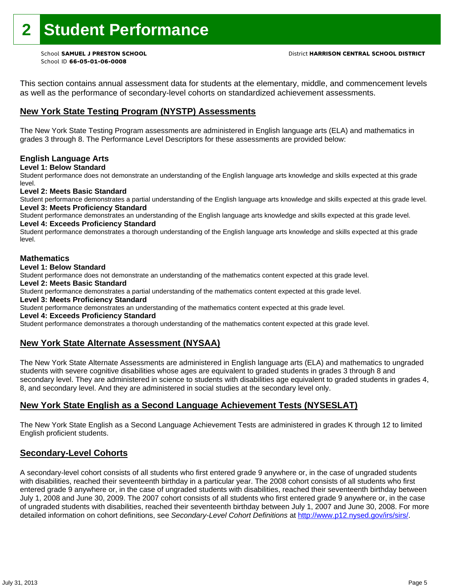This section contains annual assessment data for students at the elementary, middle, and commencement levels as well as the performance of secondary-level cohorts on standardized achievement assessments.

### **New York State Testing Program (NYSTP) Assessments**

The New York State Testing Program assessments are administered in English language arts (ELA) and mathematics in grades 3 through 8. The Performance Level Descriptors for these assessments are provided below:

#### **English Language Arts**

**Level 1: Below Standard** 

Student performance does not demonstrate an understanding of the English language arts knowledge and skills expected at this grade level.

#### **Level 2: Meets Basic Standard**

Student performance demonstrates a partial understanding of the English language arts knowledge and skills expected at this grade level. **Level 3: Meets Proficiency Standard** 

Student performance demonstrates an understanding of the English language arts knowledge and skills expected at this grade level.

### **Level 4: Exceeds Proficiency Standard**

Student performance demonstrates a thorough understanding of the English language arts knowledge and skills expected at this grade level.

#### **Mathematics**

#### **Level 1: Below Standard**

Student performance does not demonstrate an understanding of the mathematics content expected at this grade level.

#### **Level 2: Meets Basic Standard**

Student performance demonstrates a partial understanding of the mathematics content expected at this grade level.

#### **Level 3: Meets Proficiency Standard**

Student performance demonstrates an understanding of the mathematics content expected at this grade level.

#### **Level 4: Exceeds Proficiency Standard**

Student performance demonstrates a thorough understanding of the mathematics content expected at this grade level.

#### **New York State Alternate Assessment (NYSAA)**

The New York State Alternate Assessments are administered in English language arts (ELA) and mathematics to ungraded students with severe cognitive disabilities whose ages are equivalent to graded students in grades 3 through 8 and secondary level. They are administered in science to students with disabilities age equivalent to graded students in grades 4, 8, and secondary level. And they are administered in social studies at the secondary level only.

### **New York State English as a Second Language Achievement Tests (NYSESLAT)**

The New York State English as a Second Language Achievement Tests are administered in grades K through 12 to limited English proficient students.

#### **Secondary-Level Cohorts**

A secondary-level cohort consists of all students who first entered grade 9 anywhere or, in the case of ungraded students with disabilities, reached their seventeenth birthday in a particular year. The 2008 cohort consists of all students who first entered grade 9 anywhere or, in the case of ungraded students with disabilities, reached their seventeenth birthday between July 1, 2008 and June 30, 2009. The 2007 cohort consists of all students who first entered grade 9 anywhere or, in the case of ungraded students with disabilities, reached their seventeenth birthday between July 1, 2007 and June 30, 2008. For more detailed information on cohort definitions, see *Secondary-Level Cohort Definitions* at http://www.p12.nysed.gov/irs/sirs/.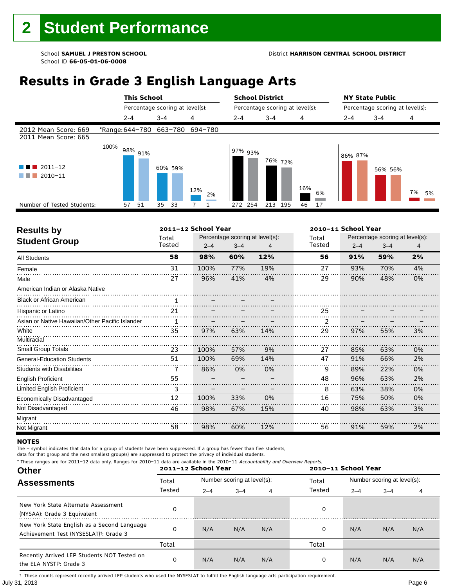# **Results in Grade 3 English Language Arts**

|                                              |      | <b>This School</b> |                                 |           | <b>School District</b><br>Percentage scoring at level(s): |            |           | <b>NY State Public</b><br>Percentage scoring at level(s): |         |          |
|----------------------------------------------|------|--------------------|---------------------------------|-----------|-----------------------------------------------------------|------------|-----------|-----------------------------------------------------------|---------|----------|
|                                              |      |                    | Percentage scoring at level(s): |           |                                                           |            |           |                                                           |         |          |
|                                              |      | $2 - 4$            | $3 - 4$                         | 4         | $2 - 4$                                                   | $3 - 4$    | 4         | 2-4                                                       | $3 - 4$ | 4        |
| 2012 Mean Score: 669<br>2011 Mean Score: 665 |      |                    | *Range: 644-780 663-780 694-780 |           |                                                           |            |           |                                                           |         |          |
| $\blacksquare$ 2011-12<br>2010-11            | 100% | 98% 91%            | 60% 59%                         | 12%<br>2% | 97% 93%                                                   | 76% 72%    | 16%<br>6% | 86% 87%                                                   | 56% 56% | 7%<br>5% |
| Number of Tested Students:                   |      | 57<br>51           | 35<br>33                        |           | 272 254                                                   | 213<br>195 | 17<br>46  |                                                           |         |          |
|                                              |      |                    |                                 |           |                                                           |            |           |                                                           |         |          |

| <b>Results by</b>                               |                 | 2011-12 School Year |         |                                 | 2010-11 School Year |                                                            |     |    |
|-------------------------------------------------|-----------------|---------------------|---------|---------------------------------|---------------------|------------------------------------------------------------|-----|----|
| <b>Student Group</b>                            | Total<br>Tested | $2 - 4$             | $3 - 4$ | Percentage scoring at level(s): | Total<br>Tested     | Percentage scoring at level(s):<br>$2 - 4$<br>$3 - 4$<br>4 |     |    |
| <b>All Students</b>                             | 58              | 98%                 | 60%     | 12%                             | 56                  | 91%                                                        | 59% | 2% |
| Female                                          | 31              | 100%                | 77%     | 19%                             | 27                  | 93%                                                        | 70% | 4% |
| Male                                            | 27              | 96%                 | 41%     | 4%                              | 29                  | 90%                                                        | 48% | 0% |
| American Indian or Alaska Native                |                 |                     |         |                                 |                     |                                                            |     |    |
| <b>Black or African American</b>                |                 |                     |         |                                 |                     |                                                            |     |    |
| Hispanic or Latino                              | 21              |                     |         |                                 | 25                  |                                                            |     |    |
| Asian or Native Hawaiian/Other Pacific Islander | 1               |                     |         |                                 |                     |                                                            |     |    |
| White                                           | 35              | 97%                 | 63%     | 14%                             | 29                  | 97%                                                        | 55% | 3% |
| Multiracial                                     |                 |                     |         |                                 |                     |                                                            |     |    |
| <b>Small Group Totals</b>                       | 23              | 100%                | 57%     | 9%                              | 27                  | 85%                                                        | 63% | 0% |
| <b>General-Education Students</b>               | 51              | 100%                | 69%     | 14%                             | 47                  | 91%                                                        | 66% | 2% |
| <b>Students with Disabilities</b>               | 7               | 86%                 | 0%      | 0%                              | 9                   | 89%                                                        | 22% | 0% |
| <b>English Proficient</b>                       | 55              |                     |         |                                 | 48                  | 96%                                                        | 63% | 2% |
| <b>Limited English Proficient</b>               | 3               |                     |         |                                 | 8                   | 63%                                                        | 38% | 0% |
| Economically Disadvantaged                      | 12              | 100%                | 33%     | 0%                              | 16                  | 75%                                                        | 50% | 0% |
| Not Disadvantaged                               | 46              | 98%                 | 67%     | 15%                             | 40                  | 98%                                                        | 63% | 3% |
| Migrant                                         |                 |                     |         |                                 |                     |                                                            |     |    |
| Not Migrant                                     | 58              | 98%                 | 60%     | 12%                             | 56                  | 91%                                                        | 59% | 2% |

#### **NOTES**

The – symbol indicates that data for a group of students have been suppressed. If a group has fewer than five students,

data for that group and the next smallest group(s) are suppressed to protect the privacy of individual students.

| * These ranges are for 2011-12 data only. Ranges for 2010-11 data are available in the 2010-11 Accountability and Overview Reports.<br><b>Other</b> |        | 2011-12 School Year |                             |     | 2010-11 School Year |         |                             |     |  |
|-----------------------------------------------------------------------------------------------------------------------------------------------------|--------|---------------------|-----------------------------|-----|---------------------|---------|-----------------------------|-----|--|
| <b>Assessments</b>                                                                                                                                  | Total  |                     | Number scoring at level(s): |     | Total               |         | Number scoring at level(s): |     |  |
|                                                                                                                                                     | Tested | $2 - 4$             | $3 - 4$                     | 4   | Tested              | $2 - 4$ | $3 - 4$                     | 4   |  |
| New York State Alternate Assessment<br>(NYSAA): Grade 3 Equivalent                                                                                  |        |                     |                             |     | 0                   |         |                             |     |  |
| New York State English as a Second Language<br>Achievement Test (NYSESLAT) <sup>+</sup> : Grade 3                                                   |        | N/A                 | N/A                         | N/A | 0                   | N/A     | N/A                         | N/A |  |
|                                                                                                                                                     | Total  |                     |                             |     | Total               |         |                             |     |  |
| Recently Arrived LEP Students NOT Tested on<br>the ELA NYSTP: Grade 3                                                                               |        | N/A                 | N/A                         | N/A | 0                   | N/A     | N/A                         | N/A |  |

July 31, 2013 Page 6 † These counts represent recently arrived LEP students who used the NYSESLAT to fulfill the English language arts participation requirement.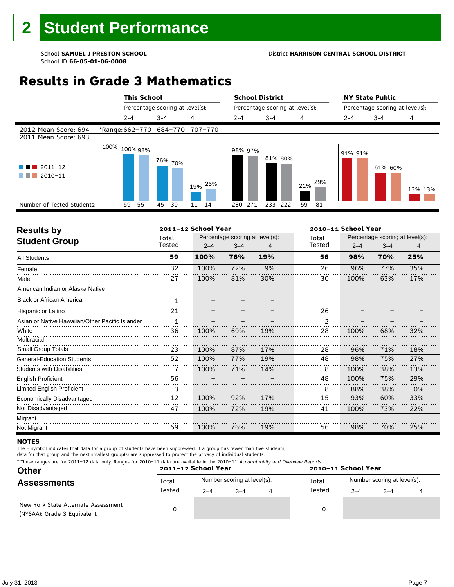# **Results in Grade 3 Mathematics**

|                                                   |                                 | <b>This School</b><br>Percentage scoring at level(s): |         |            | <b>School District</b><br>Percentage scoring at level(s): |                       |         | <b>NY State Public</b><br>Percentage scoring at level(s): |         |  |
|---------------------------------------------------|---------------------------------|-------------------------------------------------------|---------|------------|-----------------------------------------------------------|-----------------------|---------|-----------------------------------------------------------|---------|--|
|                                                   |                                 |                                                       |         |            |                                                           |                       |         |                                                           |         |  |
|                                                   | $2 - 4$                         | $3 - 4$                                               | 4       | $2 - 4$    | $3 - 4$                                                   | 4                     | 2-4     | $3 - 4$                                                   | 4       |  |
| 2012 Mean Score: 694<br>2011 Mean Score: 693      | *Range: 662-770 684-770 707-770 |                                                       |         |            |                                                           |                       |         |                                                           |         |  |
| $2011 - 12$<br>4 N N<br>a sa n<br>2010-11<br>a sa | 100% $ _{100\%}$ 98%            | <sup>76%</sup> 70%                                    | 19% 25% | 98% 97%    | 81% 80%                                                   | $21\%$ <sup>29%</sup> | 91% 91% | 61% 60%                                                   | 13% 13% |  |
| Number of Tested Students:                        | 55<br>59                        | 39<br>45                                              | 11 14   | 271<br>280 | 233<br>222                                                | 59<br>81              |         |                                                           |         |  |
|                                                   |                                 |                                                       |         |            |                                                           |                       |         |                                                           |         |  |

| <b>Results by</b>                               |                 | 2011-12 School Year |                                            |     | 2010-11 School Year |         |                                                 |     |  |
|-------------------------------------------------|-----------------|---------------------|--------------------------------------------|-----|---------------------|---------|-------------------------------------------------|-----|--|
| <b>Student Group</b>                            | Total<br>Tested | $2 - 4$             | Percentage scoring at level(s):<br>$3 - 4$ |     | Total<br>Tested     | $2 - 4$ | Percentage scoring at level(s):<br>$3 - 4$<br>4 |     |  |
| <b>All Students</b>                             | 59              | 100%                | 76%                                        | 19% | 56                  | 98%     | 70%                                             | 25% |  |
| Female                                          | 32              | 100%                | 72%                                        | 9%  | 26                  | 96%     | 77%                                             | 35% |  |
| Male                                            | 27              | 100%                | 81%                                        | 30% | 30                  | 100%    | 63%                                             | 17% |  |
| American Indian or Alaska Native                |                 |                     |                                            |     |                     |         |                                                 |     |  |
| <b>Black or African American</b>                |                 |                     |                                            |     |                     |         |                                                 |     |  |
| Hispanic or Latino                              | 21              |                     |                                            |     | 26                  |         |                                                 |     |  |
| Asian or Native Hawaiian/Other Pacific Islander | 1               |                     |                                            |     |                     |         |                                                 |     |  |
| White                                           | 36              | 100%                | 69%                                        | 19% | 28                  | 100%    | 68%                                             | 32% |  |
| Multiracial                                     |                 |                     |                                            |     |                     |         |                                                 |     |  |
| <b>Small Group Totals</b>                       | 23              | 100%                | 87%                                        | 17% | 28                  | 96%     | 71%                                             | 18% |  |
| <b>General-Education Students</b>               | 52              | 100%                | 77%                                        | 19% | 48                  | 98%     | 75%                                             | 27% |  |
| <b>Students with Disabilities</b>               | 7               | 100%                | 71%                                        | 14% | 8                   | 100%    | 38%                                             | 13% |  |
| <b>English Proficient</b>                       | 56              |                     |                                            |     | 48                  | 100%    | 75%                                             | 29% |  |
| <b>Limited English Proficient</b>               | 3               |                     |                                            |     | 8                   | 88%     | 38%                                             | 0%  |  |
| Economically Disadvantaged                      | 12              | 100%                | 92%                                        | 17% | 15                  | 93%     | 60%                                             | 33% |  |
| Not Disadvantaged                               | 47              | 100%                | 72%                                        | 19% | 41                  | 100%    | 73%                                             | 22% |  |
| Migrant                                         |                 |                     |                                            |     |                     |         |                                                 |     |  |
| Not Migrant                                     | 59              | 100%                | 76%                                        | 19% | 56                  | 98%     | 70%                                             | 25% |  |

#### **NOTES**

The – symbol indicates that data for a group of students have been suppressed. If a group has fewer than five students,

data for that group and the next smallest group(s) are suppressed to protect the privacy of individual students.

| * These ranges are for 2011-12 data only. Ranges for 2010-11 data are available in the 2010-11 Accountability and Overview Reports. |  |
|-------------------------------------------------------------------------------------------------------------------------------------|--|
|-------------------------------------------------------------------------------------------------------------------------------------|--|

| <b>Other</b>                                                       |        | 2011-12 School Year |                             | 2010-11 School Year |                             |         |  |  |  |
|--------------------------------------------------------------------|--------|---------------------|-----------------------------|---------------------|-----------------------------|---------|--|--|--|
| <b>Assessments</b>                                                 | Total  |                     | Number scoring at level(s): | Total               | Number scoring at level(s): |         |  |  |  |
|                                                                    | Tested | $2 - 4$             | $3 - 4$                     | Tested              | $2 - 4$                     | $3 - 4$ |  |  |  |
| New York State Alternate Assessment<br>(NYSAA): Grade 3 Equivalent |        |                     |                             | 0                   |                             |         |  |  |  |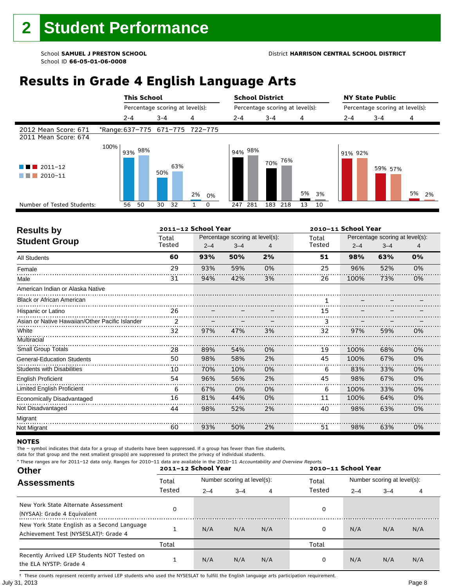# **Results in Grade 4 English Language Arts**

|                                              |      | <b>This School</b> |                                 |          | <b>School District</b> |                                 |          | <b>NY State Public</b>          |         |          |
|----------------------------------------------|------|--------------------|---------------------------------|----------|------------------------|---------------------------------|----------|---------------------------------|---------|----------|
|                                              |      |                    | Percentage scoring at level(s): |          |                        | Percentage scoring at level(s): |          | Percentage scoring at level(s): |         |          |
|                                              |      | $2 - 4$            | $3 - 4$                         | 4        | $2 - 4$                | $3 - 4$                         | 4        | $2 - 4$                         | $3 - 4$ | 4        |
| 2012 Mean Score: 671<br>2011 Mean Score: 674 |      |                    | *Range: 637-775 671-775 722-775 |          |                        |                                 |          |                                 |         |          |
| $\blacksquare$ 2011-12<br>2010-11            | 100% | 93% 98%            | 63%<br>50%                      | 2%<br>0% | 94% 98%                | 76%<br>70%                      | 5%<br>3% | 91% 92%                         | 59% 57% | 5%<br>2% |
| Number of Tested Students:                   |      | 56<br>50           | 30<br>32                        | $\Omega$ | 281<br>247             | 218<br>183                      | 13<br>10 |                                 |         |          |
|                                              |      |                    |                                 |          |                        |                                 |          |                                 |         |          |

| <b>Results by</b>                               |               | 2011-12 School Year |                                 |    | 2010-11 School Year |         |                                 |    |  |
|-------------------------------------------------|---------------|---------------------|---------------------------------|----|---------------------|---------|---------------------------------|----|--|
| <b>Student Group</b>                            | Total         |                     | Percentage scoring at level(s): |    | Total               |         | Percentage scoring at level(s): |    |  |
|                                                 | Tested        | $2 - 4$             | $3 - 4$                         |    | Tested              | $2 - 4$ | $3 - 4$                         | 4  |  |
| <b>All Students</b>                             | 60            | 93%                 | 50%                             | 2% | 51                  | 98%     | 63%                             | 0% |  |
| Female                                          | 29            | 93%                 | 59%                             | 0% | 25                  | 96%     | 52%                             | 0% |  |
| Male                                            | 31            | 94%                 | 42%                             | 3% | 26                  | 100%    | 73%                             | 0% |  |
| American Indian or Alaska Native                |               |                     |                                 |    |                     |         |                                 |    |  |
| <b>Black or African American</b>                |               |                     |                                 |    |                     |         |                                 |    |  |
| Hispanic or Latino                              | 26            |                     |                                 |    | 15                  |         |                                 |    |  |
| Asian or Native Hawaiian/Other Pacific Islander | $\mathcal{P}$ |                     |                                 |    |                     |         |                                 |    |  |
| White                                           | 32            | 97%                 | 47%                             | 3% | 32                  | 97%     | 59%                             | 0% |  |
| Multiracial                                     |               |                     |                                 |    |                     |         |                                 |    |  |
| <b>Small Group Totals</b>                       | 28            | 89%                 | 54%                             | 0% | 19                  | 100%    | 68%                             | 0% |  |
| <b>General-Education Students</b>               | 50            | 98%                 | 58%                             | 2% | 45                  | 100%    | 67%                             | 0% |  |
| <b>Students with Disabilities</b>               | 10            | 70%                 | 10%                             | 0% | 6                   | 83%     | 33%                             | 0% |  |
| <b>English Proficient</b>                       | 54            | 96%                 | 56%                             | 2% | 45                  | 98%     | 67%                             | 0% |  |
| <b>Limited English Proficient</b>               | 6             | 67%                 | 0%                              | 0% | 6                   | 100%    | 33%                             | 0% |  |
| Economically Disadvantaged                      | 16            | 81%                 | 44%                             | 0% | 11                  | 100%    | 64%                             | 0% |  |
| Not Disadvantaged                               | 44            | 98%                 | 52%                             | 2% | 40                  | 98%     | 63%                             | 0% |  |
| Migrant                                         |               |                     |                                 |    |                     |         |                                 |    |  |
| Not Migrant                                     | 60            | 93%                 | 50%                             | 2% | 51                  | 98%     | 63%                             | 0% |  |

#### **NOTES**

The – symbol indicates that data for a group of students have been suppressed. If a group has fewer than five students,

data for that group and the next smallest group(s) are suppressed to protect the privacy of individual students.

| * These ranges are for 2011-12 data only. Ranges for 2010-11 data are available in the 2010-11 Accountability and Overview Reports.<br><b>Other</b> |        | 2011-12 School Year |                             |     | 2010-11 School Year |                             |         |     |  |
|-----------------------------------------------------------------------------------------------------------------------------------------------------|--------|---------------------|-----------------------------|-----|---------------------|-----------------------------|---------|-----|--|
| <b>Assessments</b>                                                                                                                                  | Total  |                     | Number scoring at level(s): |     | Total<br>Tested     | Number scoring at level(s): |         |     |  |
|                                                                                                                                                     | Tested | $2 - 4$             | $3 - 4$                     | 4   |                     | $2 - 4$                     | $3 - 4$ | 4   |  |
| New York State Alternate Assessment<br>(NYSAA): Grade 4 Equivalent                                                                                  |        |                     |                             |     | 0                   |                             |         |     |  |
| New York State English as a Second Language<br>Achievement Test (NYSESLAT) <sup>+</sup> : Grade 4                                                   |        | N/A                 | N/A                         | N/A | 0                   | N/A                         | N/A     | N/A |  |
|                                                                                                                                                     | Total  |                     |                             |     | Total               |                             |         |     |  |
| Recently Arrived LEP Students NOT Tested on<br>the ELA NYSTP: Grade 4                                                                               |        | N/A                 | N/A                         | N/A | 0                   | N/A                         | N/A     | N/A |  |

July 31, 2013 Page 8 † These counts represent recently arrived LEP students who used the NYSESLAT to fulfill the English language arts participation requirement.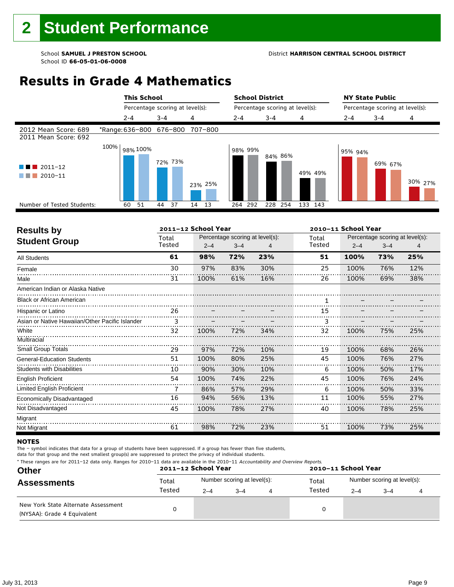#### School **SAMUEL J PRESTON SCHOOL** District **HARRISON CENTRAL SCHOOL DISTRICT**

# **Results in Grade 4 Mathematics**

|                                              |                                 |          | <b>This School</b> |         |                                 |       |         |                                 |         |         | <b>School District</b> |         |   |         | <b>NY State Public</b> |  |                                 |         |  |
|----------------------------------------------|---------------------------------|----------|--------------------|---------|---------------------------------|-------|---------|---------------------------------|---------|---------|------------------------|---------|---|---------|------------------------|--|---------------------------------|---------|--|
|                                              |                                 |          |                    |         | Percentage scoring at level(s): |       |         | Percentage scoring at level(s): |         |         |                        |         |   |         |                        |  | Percentage scoring at level(s): |         |  |
|                                              |                                 | $2 - 4$  |                    | $3 - 4$ |                                 | 4     |         |                                 | $2 - 4$ |         | $3 - 4$                |         | 4 |         | $2 - 4$                |  | $3 - 4$                         | 4       |  |
| 2012 Mean Score: 689<br>2011 Mean Score: 692 | *Range: 636-800 676-800 707-800 |          |                    |         |                                 |       |         |                                 |         |         |                        |         |   |         |                        |  |                                 |         |  |
| $2011 - 12$<br>2010-11                       | 100%                            | 98% 100% |                    |         | 72% 73%                         |       | 23% 25% |                                 |         | 98% 99% |                        | 84% 86% |   | 49% 49% | 95% 94%                |  | 69% 67%                         | 30% 27% |  |
| Number of Tested Students:                   |                                 | 60       | 51                 | 44      | 37                              | 14 13 |         |                                 |         | 264 292 | 228                    | 254     |   | 133 143 |                        |  |                                 |         |  |
|                                              |                                 |          |                    |         |                                 |       |         |                                 |         |         |                        |         |   |         |                        |  |                                 |         |  |

| <b>Results by</b>                               |        | 2011-12 School Year |         |                                 | 2010-11 School Year |         |                                 |     |  |
|-------------------------------------------------|--------|---------------------|---------|---------------------------------|---------------------|---------|---------------------------------|-----|--|
| <b>Student Group</b>                            | Total  |                     |         | Percentage scoring at level(s): | Total               |         | Percentage scoring at level(s): |     |  |
|                                                 | Tested | $2 - 4$             | $3 - 4$ |                                 | Tested              | $2 - 4$ | $3 - 4$                         | 4   |  |
| <b>All Students</b>                             | 61     | 98%                 | 72%     | 23%                             | 51                  | 100%    | 73%                             | 25% |  |
| Female                                          | 30     | 97%                 | 83%     | 30%                             | 25                  | 100%    | 76%                             | 12% |  |
| Male                                            | 31     | 100%                | 61%     | 16%                             | 26                  | 100%    | 69%                             | 38% |  |
| American Indian or Alaska Native                |        |                     |         |                                 |                     |         |                                 |     |  |
| <b>Black or African American</b>                |        |                     |         |                                 |                     |         |                                 |     |  |
| Hispanic or Latino                              | 26     |                     |         |                                 | 15                  |         |                                 |     |  |
| Asian or Native Hawaiian/Other Pacific Islander | 3      |                     |         |                                 |                     |         |                                 |     |  |
| White                                           | 32     | 100%                | 72%     | 34%                             | 32                  | 100%    | 75%                             | 25% |  |
| Multiracial                                     |        |                     |         |                                 |                     |         |                                 |     |  |
| <b>Small Group Totals</b>                       | 29     | 97%                 | 72%     | 10%                             | 19                  | 100%    | 68%                             | 26% |  |
| <b>General-Education Students</b>               | 51     | 100%                | 80%     | 25%                             | 45                  | 100%    | 76%                             | 27% |  |
| <b>Students with Disabilities</b>               | 10     | 90%                 | 30%     | 10%                             | 6                   | 100%    | 50%                             | 17% |  |
| <b>English Proficient</b>                       | 54     | 100%                | 74%     | 22%                             | 45                  | 100%    | 76%                             | 24% |  |
| Limited English Proficient                      | 7      | 86%                 | 57%     | 29%                             | 6                   | 100%    | 50%                             | 33% |  |
| Economically Disadvantaged                      | 16     | 94%                 | 56%     | 13%                             | 11                  | 100%    | 55%                             | 27% |  |
| Not Disadvantaged                               | 45     | 100%                | 78%     | 27%                             | 40                  | 100%    | 78%                             | 25% |  |
| Migrant                                         |        |                     |         |                                 |                     |         |                                 |     |  |
| Not Migrant                                     | 61     | 98%                 | 72%     | 23%                             | 51                  | 100%    | 73%                             | 25% |  |

#### **NOTES**

The – symbol indicates that data for a group of students have been suppressed. If a group has fewer than five students,

data for that group and the next smallest group(s) are suppressed to protect the privacy of individual students.

**Other Assessments**  2011-12 School Year Number scoring at level(s): Total Number scoring at level(s): 2–4 3–4 4 2–4 3–4 4 \* These ranges are for 2011–12 data only. Ranges for 2010–11 data are available in the 2010–11 Accountability and Overview Reports. **2011–12 School Year 2010–11 School Year** Total Tested Total Tested New York State Alternate Assessment (NYSAA): Grade 4 Equivalent <sup>0</sup> <sup>0</sup>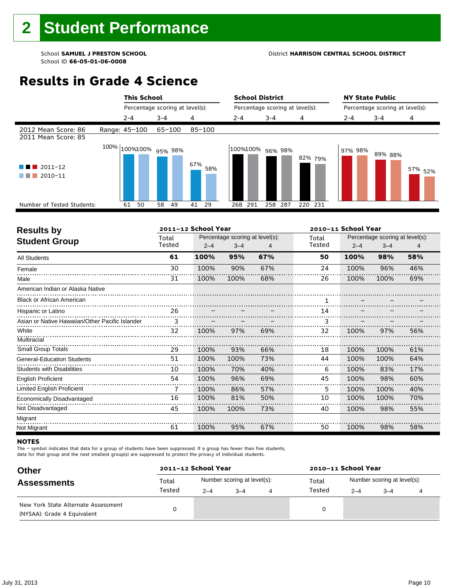#### School **SAMUEL J PRESTON SCHOOL** District **HARRISON CENTRAL SCHOOL DISTRICT**

# **Results in Grade 4 Science**

|                                                  | <b>This School</b>    |                                 |            |            | <b>School District</b>          |         |                                 | <b>NY State Public</b> |                    |
|--------------------------------------------------|-----------------------|---------------------------------|------------|------------|---------------------------------|---------|---------------------------------|------------------------|--------------------|
|                                                  |                       | Percentage scoring at level(s): |            |            | Percentage scoring at level(s): |         | Percentage scoring at level(s): |                        |                    |
|                                                  | $2 - 4$               | $3 - 4$                         | 4          | $2 - 4$    | $3 - 4$                         | 4       | $2 - 4$                         | $3 - 4$                | 4                  |
| 2012 Mean Score: 86<br>2011 Mean Score: 85       | Range: 45-100         | 65-100                          | $85 - 100$ |            |                                 |         |                                 |                        |                    |
| $\blacksquare$ 2011-12<br>$\blacksquare$ 2010-11 | 100% 100%100% 95% 98% |                                 | 67%<br>58% |            | 100%100% 96% 98%                | 82% 79% | 97% 98%                         | 89% 88%                | 57% <sub>52%</sub> |
| Number of Tested Students:                       | 50<br>61              | 58<br>49                        | 41<br>29   | 291<br>268 | 258<br>287                      | 220 231 |                                 |                        |                    |
|                                                  |                       |                                 |            |            |                                 |         |                                 |                        |                    |

| <b>Results by</b>                               |        | 2011-12 School Year |                                 |     | 2010-11 School Year |         |                                 |     |  |
|-------------------------------------------------|--------|---------------------|---------------------------------|-----|---------------------|---------|---------------------------------|-----|--|
| <b>Student Group</b>                            | Total  |                     | Percentage scoring at level(s): |     | Total               |         | Percentage scoring at level(s): |     |  |
|                                                 | Tested | $2 - 4$             | $3 - 4$                         |     | Tested              | $2 - 4$ | $3 - 4$                         | 4   |  |
| <b>All Students</b>                             | 61     | 100%                | 95%                             | 67% | 50                  | 100%    | 98%                             | 58% |  |
| Female                                          | 30     | 100%                | 90%                             | 67% | 24                  | 100%    | 96%                             | 46% |  |
| Male                                            | 31     | 100%                | 100%                            | 68% | 26                  | 100%    | 100%                            | 69% |  |
| American Indian or Alaska Native                |        |                     |                                 |     |                     |         |                                 |     |  |
| <b>Black or African American</b>                |        |                     |                                 |     |                     |         |                                 |     |  |
| Hispanic or Latino                              | 26     |                     |                                 |     | 14                  |         |                                 |     |  |
| Asian or Native Hawaiian/Other Pacific Islander | 3      |                     |                                 |     | 3                   |         |                                 |     |  |
| White                                           | 32     | 100%                | 97%                             | 69% | 32                  | 100%    | 97%                             | 56% |  |
| Multiracial                                     |        |                     |                                 |     |                     |         |                                 |     |  |
| <b>Small Group Totals</b>                       | 29     | 100%                | 93%                             | 66% | 18                  | 100%    | 100%                            | 61% |  |
| <b>General-Education Students</b>               | 51     | 100%                | 100%                            | 73% | 44                  | 100%    | 100%                            | 64% |  |
| <b>Students with Disabilities</b>               | 10     | 100%                | 70%                             | 40% | 6                   | 100%    | 83%                             | 17% |  |
| <b>English Proficient</b>                       | 54     | 100%                | 96%                             | 69% | 45                  | 100%    | 98%                             | 60% |  |
| Limited English Proficient                      | 7      | 100%                | 86%                             | 57% | 5                   | 100%    | 100%                            | 40% |  |
| Economically Disadvantaged                      | 16     | 100%                | 81%                             | 50% | 10                  | 100%    | 100%                            | 70% |  |
| Not Disadvantaged                               | 45     | 100%                | 100%                            | 73% | 40                  | 100%    | 98%                             | 55% |  |
| Migrant                                         |        |                     |                                 |     |                     |         |                                 |     |  |
| Not Migrant                                     | 61     | 100%                | 95%                             | 67% | 50                  | 100%    | 98%                             | 58% |  |

#### **NOTES**

The – symbol indicates that data for a group of students have been suppressed. If a group has fewer than five students,

data for that group and the next smallest group(s) are suppressed to protect the privacy of individual students.

| <b>Other</b>                                                       | 2011-12 School Year |         |                             | 2010-11 School Year |                             |         |  |  |  |
|--------------------------------------------------------------------|---------------------|---------|-----------------------------|---------------------|-----------------------------|---------|--|--|--|
| <b>Assessments</b>                                                 | Total               |         | Number scoring at level(s): | Total               | Number scoring at level(s): |         |  |  |  |
|                                                                    | Tested              | $2 - 4$ | $3 - 4$                     | Tested              | $2 - 4$                     | $3 - 4$ |  |  |  |
| New York State Alternate Assessment<br>(NYSAA): Grade 4 Equivalent |                     |         |                             |                     |                             |         |  |  |  |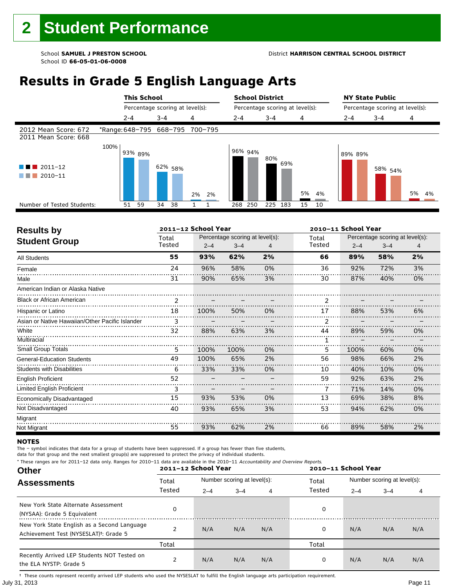# **Results in Grade 5 English Language Arts**

|                                              | <b>This School</b>              |                                 |          | <b>School District</b> |                                 |          | <b>NY State Public</b>          |                    |          |
|----------------------------------------------|---------------------------------|---------------------------------|----------|------------------------|---------------------------------|----------|---------------------------------|--------------------|----------|
|                                              |                                 | Percentage scoring at level(s): |          |                        | Percentage scoring at level(s): |          | Percentage scoring at level(s): |                    |          |
|                                              | $2 - 4$                         | $3 - 4$                         | 4        | $2 - 4$                | $3 - 4$                         | 4        | 2-4                             | $3 - 4$            | 4        |
| 2012 Mean Score: 672<br>2011 Mean Score: 668 | *Range: 648-795 668-795 700-795 |                                 |          |                        |                                 |          |                                 |                    |          |
| 2011-12<br>2010-11                           | 100%<br>93% 89%                 | 62% <sub>58%</sub>              | 2%<br>2% | 96% 94%                | 80%<br>69%                      | 5%<br>4% | 89% 89%                         | 58% <sub>54%</sub> | 5%<br>4% |
| Number of Tested Students:                   | 51<br>59                        | 34<br>38                        |          | 250<br>268             | 225<br>183                      | 15<br>10 |                                 |                    |          |
|                                              |                                 |                                 |          |                        |                                 |          |                                 |                    |          |

| <b>Results by</b>                               |                 | 2011-12 School Year |                                            |    | 2010-11 School Year |         |                                            |    |  |
|-------------------------------------------------|-----------------|---------------------|--------------------------------------------|----|---------------------|---------|--------------------------------------------|----|--|
| <b>Student Group</b>                            | Total<br>Tested | $2 - 4$             | Percentage scoring at level(s):<br>$3 - 4$ |    | Total<br>Tested     | $2 - 4$ | Percentage scoring at level(s):<br>$3 - 4$ | 4  |  |
| <b>All Students</b>                             | 55              | 93%                 | 62%                                        | 2% | 66                  | 89%     | 58%                                        | 2% |  |
| Female                                          | 24              | 96%                 | 58%                                        | 0% | 36                  | 92%     | 72%                                        | 3% |  |
| Male                                            | 31              | 90%                 | 65%                                        | 3% | 30                  | 87%     | 40%                                        | 0% |  |
| American Indian or Alaska Native                |                 |                     |                                            |    |                     |         |                                            |    |  |
| <b>Black or African American</b>                | $\overline{2}$  |                     |                                            |    | $\mathcal{P}$       |         |                                            |    |  |
| Hispanic or Latino                              | 18              | 100%                | 50%                                        | 0% | 17                  | 88%     | 53%                                        | 6% |  |
| Asian or Native Hawaiian/Other Pacific Islander | 3               |                     |                                            |    |                     |         |                                            |    |  |
| White                                           | 32              | 88%                 | 63%                                        | 3% | 44                  | 89%     | 59%                                        | 0% |  |
| Multiracial                                     |                 |                     |                                            |    |                     |         |                                            |    |  |
| <b>Small Group Totals</b>                       | 5               | 100%                | 100%                                       | 0% | 5                   | 100%    | 60%                                        | 0% |  |
| <b>General-Education Students</b>               | 49              | 100%                | 65%                                        | 2% | 56                  | 98%     | 66%                                        | 2% |  |
| <b>Students with Disabilities</b>               | 6               | 33%                 | 33%                                        | 0% | 10                  | 40%     | 10%                                        | 0% |  |
| <b>English Proficient</b>                       | 52              |                     |                                            |    | 59                  | 92%     | 63%                                        | 2% |  |
| Limited English Proficient                      | 3               |                     |                                            |    |                     | 71%     | 14%                                        | 0% |  |
| Economically Disadvantaged                      | 15              | 93%                 | 53%                                        | 0% | 13                  | 69%     | 38%                                        | 8% |  |
| Not Disadvantaged                               | 40              | 93%                 | 65%                                        | 3% | 53                  | 94%     | 62%                                        | 0% |  |
| Migrant                                         |                 |                     |                                            |    |                     |         |                                            |    |  |
| Not Migrant                                     | 55              | 93%                 | 62%                                        | 2% | 66                  | 89%     | 58%                                        | 2% |  |

#### **NOTES**

The – symbol indicates that data for a group of students have been suppressed. If a group has fewer than five students,

data for that group and the next smallest group(s) are suppressed to protect the privacy of individual students.

\* These ranges are for 2011–12 data only. Ranges for 2010–11 data are available in the 2010–11 Accountability and Overview Reports.

| <b>Other</b>                                                                                      | 2011-12 School Year |         |                             |     | 2010-11 School Year |                             |         |     |  |  |
|---------------------------------------------------------------------------------------------------|---------------------|---------|-----------------------------|-----|---------------------|-----------------------------|---------|-----|--|--|
| <b>Assessments</b>                                                                                | Total               |         | Number scoring at level(s): |     | Total               | Number scoring at level(s): |         |     |  |  |
|                                                                                                   | Tested              | $2 - 4$ | $3 - 4$                     | 4   | Tested              | $2 - 4$                     | $3 - 4$ | 4   |  |  |
| New York State Alternate Assessment<br>(NYSAA): Grade 5 Equivalent                                | 0                   |         |                             |     | 0                   |                             |         |     |  |  |
| New York State English as a Second Language<br>Achievement Test (NYSESLAT) <sup>+</sup> : Grade 5 |                     | N/A     | N/A                         | N/A | 0                   | N/A                         | N/A     | N/A |  |  |
|                                                                                                   | Total               |         |                             |     | Total               |                             |         |     |  |  |
| Recently Arrived LEP Students NOT Tested on<br>the ELA NYSTP: Grade 5                             | າ                   | N/A     | N/A                         | N/A | 0                   | N/A                         | N/A     | N/A |  |  |

July 31, 2013 Page 11 † These counts represent recently arrived LEP students who used the NYSESLAT to fulfill the English language arts participation requirement.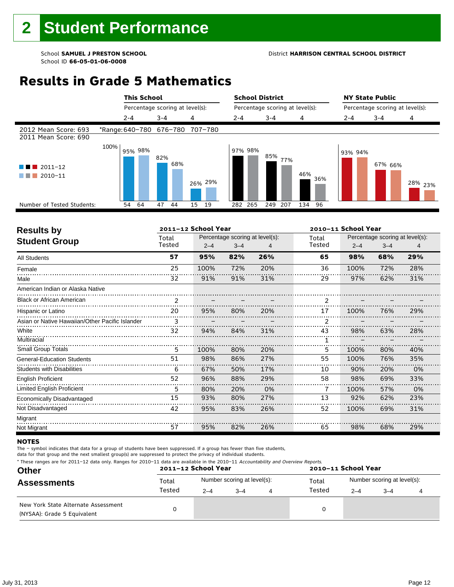#### School **SAMUEL J PRESTON SCHOOL** District **HARRISON CENTRAL SCHOOL DISTRICT**

# **Results in Grade 5 Mathematics**

|                                              |                                 | <b>This School</b> |                                 |         |     |    |         |         | <b>School District</b><br>Percentage scoring at level(s): |         |     |     |     | <b>NY State Public</b>          |  |         |                    |  |
|----------------------------------------------|---------------------------------|--------------------|---------------------------------|---------|-----|----|---------|---------|-----------------------------------------------------------|---------|-----|-----|-----|---------------------------------|--|---------|--------------------|--|
|                                              |                                 |                    | Percentage scoring at level(s): |         |     |    |         |         |                                                           |         |     |     |     | Percentage scoring at level(s): |  |         |                    |  |
|                                              |                                 | $2 - 4$            |                                 | $3 - 4$ |     | 4  |         | $2 - 4$ |                                                           | $3 - 4$ |     | 4   |     | $2 - 4$                         |  | $3 - 4$ | 4                  |  |
| 2012 Mean Score: 693<br>2011 Mean Score: 690 | *Range: 640-780 676-780 707-780 |                    |                                 |         |     |    |         |         |                                                           |         |     |     |     |                                 |  |         |                    |  |
| $2011 - 12$<br>2010-11                       | 100%                            |                    | 95% 98%                         | 82%     | 68% |    | 26% 29% |         | 97% 98%                                                   | 85%     | 77% | 46% | 36% | 93% 94%                         |  | 67% 66% | <sup>28%</sup> 23% |  |
| Number of Tested Students:                   |                                 | 54                 | 64                              | 47      | 44  | 15 | 19      |         | 282 265                                                   | 249     | 207 | 134 | 96  |                                 |  |         |                    |  |
|                                              |                                 |                    |                                 |         |     |    |         |         |                                                           |         |     |     |     |                                 |  |         |                    |  |

| <b>Results by</b>                               |        | 2011-12 School Year |                                 |     | 2010-11 School Year |         |                                 |     |  |  |
|-------------------------------------------------|--------|---------------------|---------------------------------|-----|---------------------|---------|---------------------------------|-----|--|--|
| <b>Student Group</b>                            | Total  |                     | Percentage scoring at level(s): |     | Total               |         | Percentage scoring at level(s): |     |  |  |
|                                                 | Tested | $2 - 4$             | $3 - 4$                         |     | Tested              | $2 - 4$ | $3 - 4$                         | 4   |  |  |
| <b>All Students</b>                             | 57     | 95%                 | 82%                             | 26% | 65                  | 98%     | 68%                             | 29% |  |  |
| Female                                          | 25     | 100%                | 72%                             | 20% | 36                  | 100%    | 72%                             | 28% |  |  |
| Male                                            | 32     | 91%                 | 91%                             | 31% | 29                  | 97%     | 62%                             | 31% |  |  |
| American Indian or Alaska Native                |        |                     |                                 |     |                     |         |                                 |     |  |  |
| <b>Black or African American</b>                | 2      |                     |                                 |     | $\mathcal{P}$       |         |                                 |     |  |  |
| Hispanic or Latino                              | 20     | 95%                 | 80%                             | 20% | 17                  | 100%    | 76%                             | 29% |  |  |
| Asian or Native Hawaiian/Other Pacific Islander | 3      |                     |                                 |     | 2                   |         |                                 |     |  |  |
| White                                           | 32     | 94%                 | 84%                             | 31% | 43                  | 98%     | 63%                             | 28% |  |  |
| Multiracial                                     |        |                     |                                 |     |                     |         |                                 |     |  |  |
| Small Group Totals                              | 5      | 100%                | 80%                             | 20% | 5                   | 100%    | 80%                             | 40% |  |  |
| <b>General-Education Students</b>               | 51     | 98%                 | 86%                             | 27% | 55                  | 100%    | 76%                             | 35% |  |  |
| <b>Students with Disabilities</b>               | 6      | 67%                 | 50%                             | 17% | 10                  | 90%     | 20%                             | 0%  |  |  |
| <b>English Proficient</b>                       | 52     | 96%                 | 88%                             | 29% | 58                  | 98%     | 69%                             | 33% |  |  |
| Limited English Proficient                      | 5      | 80%                 | 20%                             | 0%  | 7                   | 100%    | 57%                             | 0%  |  |  |
| Economically Disadvantaged                      | 15     | 93%                 | 80%                             | 27% | 13                  | 92%     | 62%                             | 23% |  |  |
| Not Disadvantaged                               | 42     | 95%                 | 83%                             | 26% | 52                  | 100%    | 69%                             | 31% |  |  |
| Migrant                                         |        |                     |                                 |     |                     |         |                                 |     |  |  |
| Not Migrant                                     | 57     | 95%                 | 82%                             | 26% | 65                  | 98%     | 68%                             | 29% |  |  |

#### **NOTES**

The – symbol indicates that data for a group of students have been suppressed. If a group has fewer than five students,

data for that group and the next smallest group(s) are suppressed to protect the privacy of individual students.

\* These ranges are for 2011–12 data only. Ranges for 2010–11 data are available in the 2010–11 Accountability and Overview Reports.

| <b>Other</b>                                                       |        | 2011-12 School Year |                             | 2010-11 School Year |                             |      |  |  |  |
|--------------------------------------------------------------------|--------|---------------------|-----------------------------|---------------------|-----------------------------|------|--|--|--|
| <b>Assessments</b>                                                 | Total  |                     | Number scoring at level(s): | Total               | Number scoring at level(s): |      |  |  |  |
|                                                                    | Tested | $2 - 4$             | $3 - 4$                     | Tested              | $2 - 4$                     | $-4$ |  |  |  |
| New York State Alternate Assessment<br>(NYSAA): Grade 5 Equivalent |        |                     |                             | 0                   |                             |      |  |  |  |